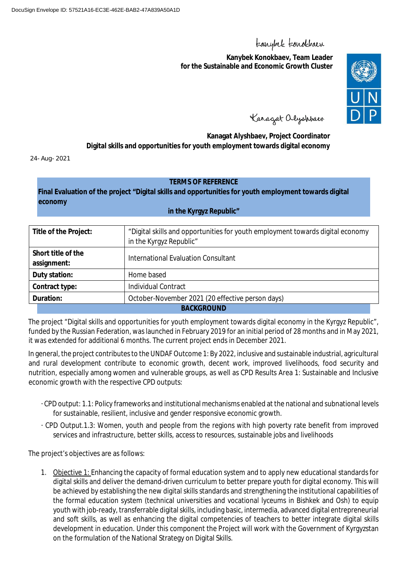# teanybel teanokbaen

**Kanybek Konokbaev, Team Leader for the Sustainable and Economic Growth Cluster**



Kanagat alyshbaev

**Kanagat Alyshbaev, Project Coordinator Digital skills and opportunities for youth employment towards digital economy**

24-Aug-2021

#### **TERMS OF REFERENCE**

**Final Evaluation of the project "Digital skills and opportunities for youth employment towards digital economy**

#### **in the Kyrgyz Republic"**

| Title of the Project:                                         | "Digital skills and opportunities for youth employment towards digital economy<br>in the Kyrgyz Republic" |  |
|---------------------------------------------------------------|-----------------------------------------------------------------------------------------------------------|--|
| Short title of the<br>assignment:                             | International Evaluation Consultant                                                                       |  |
| Duty station:                                                 | Home based                                                                                                |  |
| Individual Contract<br>Contract type:                         |                                                                                                           |  |
| October-November 2021 (20 effective person days)<br>Duration: |                                                                                                           |  |
| <b>BACKGROUND</b>                                             |                                                                                                           |  |

The project "Digital skills and opportunities for youth employment towards digital economy in the Kyrgyz Republic", funded by the Russian Federation, was launched in February 2019 for an initial period of 28 months and in May 2021, it was extended for additional 6 months. The current project ends in December 2021.

In general, the project contributes to the UNDAF Outcome 1: By 2022, inclusive and sustainable industrial, agricultural and rural development contribute to economic growth, decent work, improved livelihoods, food security and nutrition, especially among women and vulnerable groups, as well as CPD Results Area 1: Sustainable and Inclusive economic growth with the respective CPD outputs:

- · CPD output: 1.1: Policy frameworks and institutional mechanisms enabled at the national and subnational levels for sustainable, resilient, inclusive and gender responsive economic growth.
- · CPD Output.1.3: Women, youth and people from the regions with high poverty rate benefit from improved services and infrastructure, better skills, access to resources, sustainable jobs and livelihoods

The project's objectives are as follows:

1. Objective 1: Enhancing the capacity of formal education system and to apply new educational standards for digital skills and deliver the demand-driven curriculum to better prepare youth for digital economy. This will be achieved by establishing the new digital skills standards and strengthening the institutional capabilities of the formal education system (technical universities and vocational lyceums in Bishkek and Osh) to equip youth with job-ready, transferrable digital skills, including basic, intermedia, advanced digital entrepreneurial and soft skills, as well as enhancing the digital competencies of teachers to better integrate digital skills development in education. Under this component the Project will work with the Government of Kyrgyzstan on the formulation of the National Strategy on Digital Skills.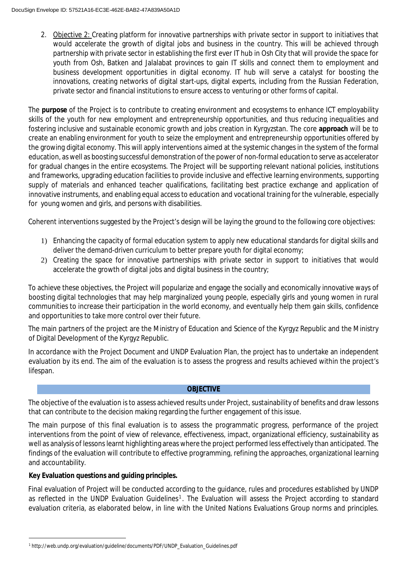2. Objective 2: Creating platform for innovative partnerships with private sector in support to initiatives that would accelerate the growth of digital jobs and business in the country. This will be achieved through partnership with private sector in establishing the first ever IT hub in Osh City that will provide the space for youth from Osh, Batken and Jalalabat provinces to gain IT skills and connect them to employment and business development opportunities in digital economy. IT hub will serve a catalyst for boosting the innovations, creating networks of digital start-ups, digital experts, including from the Russian Federation, private sector and financial institutions to ensure access to venturing or other forms of capital.

The **purpose** of the Project is to contribute to creating environment and ecosystems to enhance ICT employability skills of the youth for new employment and entrepreneurship opportunities, and thus reducing inequalities and fostering inclusive and sustainable economic growth and jobs creation in Kyrgyzstan. The core **approach** will be to create an enabling environment for youth to seize the employment and entrepreneurship opportunities offered by the growing digital economy. This will apply interventions aimed at the systemic changes in the system of the formal education, as well as boosting successful demonstration of the power of non-formal education to serve as accelerator for gradual changes in the entire ecosystems. The Project will be supporting relevant national policies, institutions and frameworks, upgrading education facilities to provide inclusive and effective learning environments, supporting supply of materials and enhanced teacher qualifications, facilitating best practice exchange and application of innovative instruments, and enabling equal access to education and vocational training for the vulnerable, especially for young women and girls, and persons with disabilities.

Coherent interventions suggested by the Project's design will be laying the ground to the following core objectives:

- 1) Enhancing the capacity of formal education system to apply new educational standards for digital skills and deliver the demand-driven curriculum to better prepare youth for digital economy;
- 2) Creating the space for innovative partnerships with private sector in support to initiatives that would accelerate the growth of digital jobs and digital business in the country;

To achieve these objectives, the Project will popularize and engage the socially and economically innovative ways of boosting digital technologies that may help marginalized young people, especially girls and young women in rural communities to increase their participation in the world economy, and eventually help them gain skills, confidence and opportunities to take more control over their future.

The main partners of the project are the Ministry of Education and Science of the Kyrgyz Republic and the Ministry of Digital Development of the Kyrgyz Republic.

In accordance with the Project Document and UNDP Evaluation Plan, the project has to undertake an independent evaluation by its end. The aim of the evaluation is to assess the progress and results achieved within the project's lifespan.

# **OBJECTIVE**

The objective of the evaluation is to assess achieved results under Project, sustainability of benefits and draw lessons that can contribute to the decision making regarding the further engagement of this issue.

The main purpose of this final evaluation is to assess the programmatic progress, performance of the project interventions from the point of view of relevance, effectiveness, impact, organizational efficiency, sustainability as well as analysis of lessons learnt highlighting areas where the project performed less effectively than anticipated. The findings of the evaluation will contribute to effective programming, refining the approaches, organizational learning and accountability.

**Key Evaluation questions and guiding principles.**

Final evaluation of Project will be conducted according to the guidance, rules and procedures established by UNDP as reflected in the UNDP Evaluation Guidelines<sup>1</sup>. The Evaluation will assess the Project according to standard evaluation criteria, as elaborated below, in line with the United Nations Evaluations Group norms and principles.

<sup>1</sup> http://web.undp.org/evaluation/guideline/documents/PDF/UNDP\_Evaluation\_Guidelines.pdf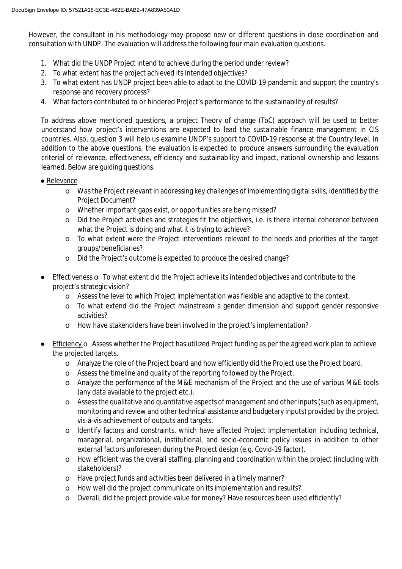However, the consultant in his methodology may propose new or different questions in close coordination and consultation with UNDP. The evaluation will address the following four main evaluation questions.

- 1. What did the UNDP Project intend to achieve during the period under review?
- 2. To what extent has the project achieved its intended objectives?
- 3. To what extent has UNDP project been able to adapt to the COVID-19 pandemic and support the country's response and recovery process?
- 4. What factors contributed to or hindered Project's performance to the sustainability of results?

To address above mentioned questions, a project Theory of change (ToC) approach will be used to better understand how project's interventions are expected to lead the sustainable finance management in CIS countries. Also, question 3 will help us examine UNDP's support to COVID-19 response at the Country level. In addition to the above questions, the evaluation is expected to produce answers surrounding the evaluation criterial of relevance, effectiveness, efficiency and sustainability and impact, national ownership and lessons learned. Below are guiding questions.

- Relevance
	- o Was the Project relevant in addressing key challenges of implementing digital skills, identified by the Project Document?
	- o Whether important gaps exist, or opportunities are being missed?
	- o Did the Project activities and strategies fit the objectives, i.e. is there internal coherence between what the Project is doing and what it is trying to achieve?
	- o To what extent were the Project interventions relevant to the needs and priorities of the target groups/beneficiaries?
	- o Did the Project's outcome is expected to produce the desired change?
- Effectiveness o To what extent did the Project achieve its intended objectives and contribute to the project's strategic vision?
	- o Assess the level to which Project implementation was flexible and adaptive to the context.
	- o To what extend did the Project mainstream a gender dimension and support gender responsive activities?
	- o How have stakeholders have been involved in the project's implementation?
- Efficiency  $\circ$  Assess whether the Project has utilized Project funding as per the agreed work plan to achieve the projected targets.
	- o Analyze the role of the Project board and how efficiently did the Project use the Project board.
	- o Assess the timeline and quality of the reporting followed by the Project.
	- o Analyze the performance of the M&E mechanism of the Project and the use of various M&E tools (any data available to the project etc.).
	- o Assess the qualitative and quantitative aspects of management and other inputs (such as equipment, monitoring and review and other technical assistance and budgetary inputs) provided by the project vis-à-vis achievement of outputs and targets.
	- o Identify factors and constraints, which have affected Project implementation including technical, managerial, organizational, institutional, and socio-economic policy issues in addition to other external factors unforeseen during the Project design (e.g. Covid-19 factor).
	- o How efficient was the overall staffing, planning and coordination within the project (including with stakeholders)?
	- o Have project funds and activities been delivered in a timely manner?
	- o How well did the project communicate on its implementation and results?
	- o Overall, did the project provide value for money? Have resources been used efficiently?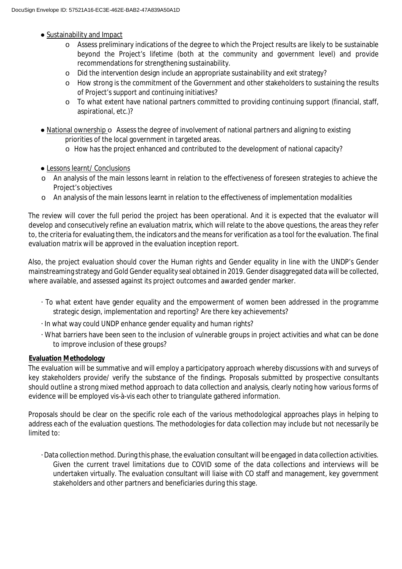- Sustainability and Impact
	- o Assess preliminary indications of the degree to which the Project results are likely to be sustainable beyond the Project's lifetime (both at the community and government level) and provide recommendations for strengthening sustainability.
	- o Did the intervention design include an appropriate sustainability and exit strategy?
	- o How strong is the commitment of the Government and other stakeholders to sustaining the results of Project's support and continuing initiatives?
	- o To what extent have national partners committed to providing continuing support (financial, staff, aspirational, etc.)?
- National ownership o Assess the degree of involvement of national partners and aligning to existing priorities of the local government in targeted areas.
	- o How has the project enhanced and contributed to the development of national capacity?
- Lessons learnt/ Conclusions
- o An analysis of the main lessons learnt in relation to the effectiveness of foreseen strategies to achieve the Project's objectives
- o An analysis of the main lessons learnt in relation to the effectiveness of implementation modalities

The review will cover the full period the project has been operational. And it is expected that the evaluator will develop and consecutively refine an evaluation matrix, which will relate to the above questions, the areas they refer to, the criteria for evaluating them, the indicators and the means for verification as a tool for the evaluation. The final evaluation matrix will be approved in the evaluation inception report.

Also, the project evaluation should cover the Human rights and Gender equality in line with the UNDP's Gender mainstreaming strategy and Gold Gender equality seal obtained in 2019. Gender disaggregated data will be collected, where available, and assessed against its project outcomes and awarded gender marker.

- · To what extent have gender equality and the empowerment of women been addressed in the programme strategic design, implementation and reporting? Are there key achievements?
- · In what way could UNDP enhance gender equality and human rights?
- · What barriers have been seen to the inclusion of vulnerable groups in project activities and what can be done to improve inclusion of these groups?

# **Evaluation Methodology**

The evaluation will be summative and will employ a participatory approach whereby discussions with and surveys of key stakeholders provide/ verify the substance of the findings. Proposals submitted by prospective consultants should outline a strong mixed method approach to data collection and analysis, clearly noting how various forms of evidence will be employed vis-à-vis each other to triangulate gathered information.

Proposals should be clear on the specific role each of the various methodological approaches plays in helping to address each of the evaluation questions. The methodologies for data collection may include but not necessarily be limited to:

· Data collection method. During this phase, the evaluation consultant will be engaged in data collection activities. Given the current travel limitations due to COVID some of the data collections and interviews will be undertaken virtually. The evaluation consultant will liaise with CO staff and management, key government stakeholders and other partners and beneficiaries during this stage.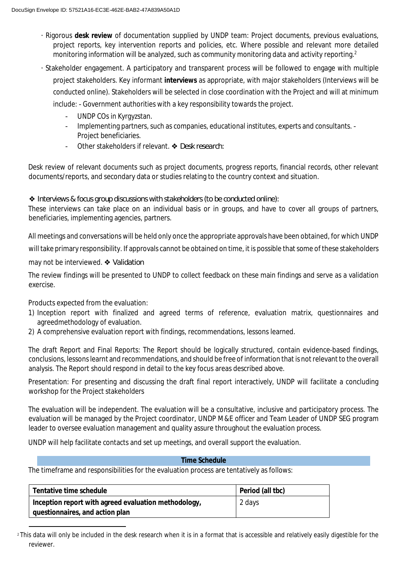- · Rigorous **desk review** of documentation supplied by UNDP team: Project documents, previous evaluations, project reports, key intervention reports and policies, etc. Where possible and relevant more detailed monitoring information will be analyzed, such as community monitoring data and activity reporting.<sup>2</sup>
- · Stakeholder engagement. A participatory and transparent process will be followed to engage with multiple project stakeholders. Key informant **interviews** as appropriate, with major stakeholders (Interviews will be conducted online). Stakeholders will be selected in close coordination with the Project and will at minimum include: - Government authorities with a key responsibility towards the project.
	- UNDP COs in Kyrgyzstan.
	- Implementing partners, such as companies, educational institutes, experts and consultants. Project beneficiaries.
	- Other stakeholders if relevant. ❖ *Desk research:*

Desk review of relevant documents such as project documents, progress reports, financial records, other relevant documents/reports, and secondary data or studies relating to the country context and situation.

❖ *Interviews & focus group discussions with stakeholders (to be conducted online):*

These interviews can take place on an individual basis or in groups, and have to cover all groups of partners, beneficiaries, implementing agencies, partners.

All meetings and conversations will be held only once the appropriate approvals have been obtained, for which UNDP will take primary responsibility. If approvals cannot be obtained on time, it is possible that some of these stakeholders

may not be interviewed. ❖ *Validation*

The review findings will be presented to UNDP to collect feedback on these main findings and serve as a validation exercise.

Products expected from the evaluation:

- 1) Inception report with finalized and agreed terms of reference, evaluation matrix, questionnaires and agreedmethodology of evaluation.
- 2) A comprehensive evaluation report with findings, recommendations, lessons learned.

The draft Report and Final Reports: The Report should be logically structured, contain evidence-based findings, conclusions, lessons learnt and recommendations, and should be free of information that is not relevant to the overall analysis. The Report should respond in detail to the key focus areas described above.

Presentation: For presenting and discussing the draft final report interactively, UNDP will facilitate a concluding workshop for the Project stakeholders

The evaluation will be independent. The evaluation will be a consultative, inclusive and participatory process. The evaluation will be managed by the Project coordinator, UNDP M&E officer and Team Leader of UNDP SEG program leader to oversee evaluation management and quality assure throughout the evaluation process.

UNDP will help facilitate contacts and set up meetings, and overall support the evaluation.

#### **Time Schedule**

The timeframe and responsibilities for the evaluation process are tentatively as follows:

| Tentative time schedule                              | Period (all tbc) |
|------------------------------------------------------|------------------|
| Inception report with agreed evaluation methodology, | 2 days           |
| questionnaires, and action plan                      |                  |

<sup>2</sup> This data will only be included in the desk research when it is in a format that is accessible and relatively easily digestible for the reviewer.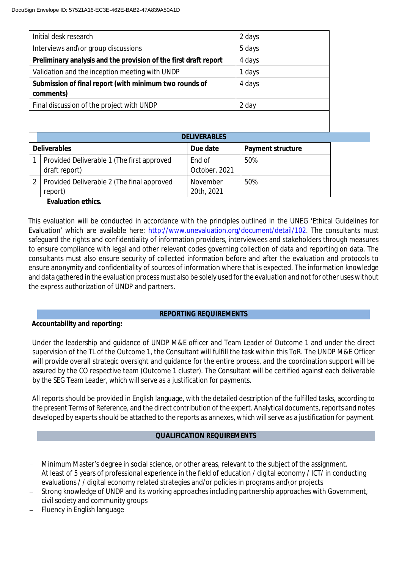| Initial desk research                                            | 2 days |
|------------------------------------------------------------------|--------|
| Interviews and\or group discussions                              | 5 days |
| Preliminary analysis and the provision of the first draft report | 4 days |
| Validation and the inception meeting with UNDP                   | 1 days |
| Submission of final report (with minimum two rounds of           | 4 days |
| comments)                                                        |        |
| Final discussion of the project with UNDP                        | 2 day  |
|                                                                  |        |
|                                                                  |        |
| <b>DELIVERABLES</b>                                              |        |
|                                                                  |        |

| <b>Deliverables</b> |                                                             | Due date                | Payment structure |
|---------------------|-------------------------------------------------------------|-------------------------|-------------------|
|                     | Provided Deliverable 1 (The first approved<br>draft report) | End of<br>October, 2021 | 50%               |
|                     | 2   Provided Deliverable 2 (The final approved<br>report)   | November<br>20th, 2021  | 50%               |

**Evaluation ethics.**

This evaluation will be conducted in accordance with the principles outlined in the UNEG 'Ethical Guidelines for Evaluation' which are available here: http://www.unevaluation.org/document/detail/102. The consultants must safeguard the rights and confidentiality of information providers, interviewees and stakeholders through measures to ensure compliance with legal and other relevant codes governing collection of data and reporting on data. The consultants must also ensure security of collected information before and after the evaluation and protocols to ensure anonymity and confidentiality of sources of information where that is expected. The information knowledge and data gathered in the evaluation process must also be solely used for the evaluation and not for other uses without the express authorization of UNDP and partners.

# **REPORTING REQUIREMENTS**

**Accountability and reporting:**

Under the leadership and guidance of UNDP M&E officer and Team Leader of Outcome 1 and under the direct supervision of the TL of the Outcome 1, the Consultant will fulfill the task within this ToR. The UNDP M&E Officer will provide overall strategic oversight and guidance for the entire process, and the coordination support will be assured by the CO respective team (Outcome 1 cluster). The Consultant will be certified against each deliverable by the SEG Team Leader, which will serve as a justification for payments.

All reports should be provided in English language, with the detailed description of the fulfilled tasks, according to the present Terms of Reference, and the direct contribution of the expert. Analytical documents, reports and notes developed by experts should be attached to the reports as annexes, which will serve as a justification for payment.

# **QUALIFICATION REQUIREMENTS**

- Minimum Master's degree in social science, or other areas, relevant to the subject of the assignment.
- At least of 5 years of professional experience in the field of education / digital economy / ICT/ in conducting evaluations / / digital economy related strategies and/or policies in programs and\or projects
- Strong knowledge of UNDP and its working approaches including partnership approaches with Government, civil society and community groups
- Fluency in English language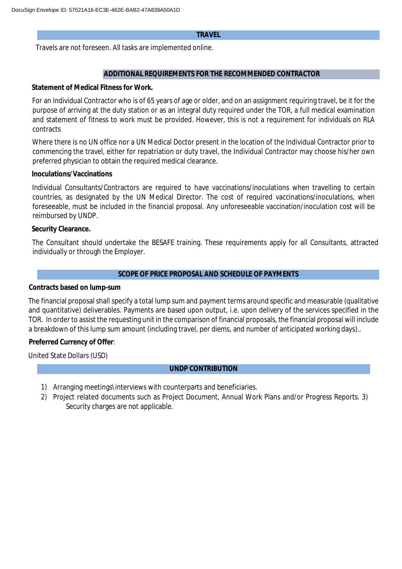#### **TRAVEL**

Travels are not foreseen. All tasks are implemented online.

#### **ADDITIONAL REQUIREMENTS FOR THE RECOMMENDED CONTRACTOR**

**Statement of Medical Fitness for Work.**

For an Individual Contractor who is of 65 years of age or older, and on an assignment requiring travel, be it for the purpose of arriving at the duty station or as an integral duty required under the TOR, a full medical examination and statement of fitness to work must be provided. However, this is not a requirement for individuals on RLA contracts

Where there is no UN office nor a UN Medical Doctor present in the location of the Individual Contractor prior to commencing the travel, either for repatriation or duty travel, the Individual Contractor may choose his/her own preferred physician to obtain the required medical clearance.

#### **Inoculations/Vaccinations**

Individual Consultants/Contractors are required to have vaccinations/inoculations when travelling to certain countries, as designated by the UN Medical Director. The cost of required vaccinations/inoculations, when foreseeable, must be included in the financial proposal. Any unforeseeable vaccination/inoculation cost will be reimbursed by UNDP.

#### **Security Clearance.**

The Consultant should undertake the BESAFE training. These requirements apply for all Consultants, attracted individually or through the Employer.

#### **SCOPE OF PRICE PROPOSAL AND SCHEDULE OF PAYMENTS**

**Contracts based on lump-sum**

The financial proposal shall specify a total lump sum and payment terms around specific and measurable (qualitative and quantitative) deliverables. Payments are based upon output, i.e. upon delivery of the services specified in the TOR. In order to assist the requesting unit in the comparison of financial proposals, the financial proposal will include a breakdown of this lump sum amount (including travel, per diems, and number of anticipated working days)..

**Preferred Currency of Offer**:

United State Dollars (USD)

#### **UNDP CONTRIBUTION**

- 1) Arranging meetings\interviews with counterparts and beneficiaries.
- 2) Project related documents such as Project Document, Annual Work Plans and/or Progress Reports. 3) Security charges are not applicable.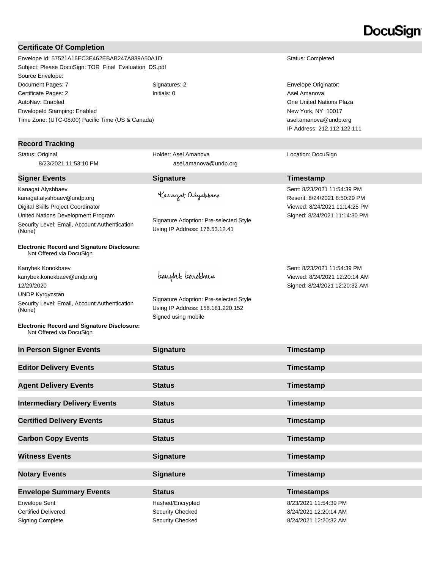# DocuSian

#### **Certificate Of Completion**

Envelope Id: 57521A16EC3E462EBAB247A839A50A1D Status: Completed Subject: Please DocuSign: TOR\_Final\_Evaluation\_DS.pdf Source Envelope: Document Pages: 7 Signatures: 2 Signatures: 2 Envelope Originator: Certificate Pages: 2 **Initials: 0** Asel Amanova **Certificate Pages: 2** Asel Amanova AutoNav: Enabled EnvelopeId Stamping: Enabled Time Zone: (UTC-08:00) Pacific Time (US & Canada)

#### **Record Tracking**

Status: Original 8/23/2021 11:53:10 PM

kanagat.alyshbaev@undp.org Digital Skills Project Coordinator United Nations Development Program Security Level: Email, Account Authentication

Kanagat Alyshbaev

(None)

**Signer Events Signature Construction Construction Construction Construction Construction Construction Construction Construction Construction Construction Construction Construction Construction Construction Constructio** 

Holder: Asel Amanova

Karagat alyshbaev

Signature Adoption: Pre-selected Style Using IP Address: 176.53.12.41

Signature Adoption: Pre-selected Style Using IP Address: 158.181.220.152

Signed using mobile

teanybel teanokbaen

asel.amanova@undp.org

**Electronic Record and Signature Disclosure:**  Not Offered via DocuSign

Kanybek Konokbaev kanybek.konokbaev@undp.org 12/29/2020 UNDP Kyrgyzstan Security Level: Email, Account Authentication (None)

**Electronic Record and Signature Disclosure:**  Not Offered via DocuSign

**In Person Signer Events Signature Signature Timestamp Editor Delivery Events Status Status Timestamp Agent Delivery Events Status Timestamp Intermediary Delivery Events Status Timestamp Certified Delivery Events Status Certified Delivery Events Status Timestamp Carbon Copy Events Status Carbon Copy Events Timestamp Witness Events Signature Constructed Events Timestamp Notary Events Signature Timestamp Envelope Summary Events Status Timestamps** Envelope Sent Hashed/Encrypted 8/23/2021 11:54:39 PM Certified Delivered Security Checked 8/24/2021 12:20:14 AM Signing Complete Security Checked Security Checked 8/24/2021 12:20:32 AM

One United Nations Plaza New York, NY 10017 asel.amanova@undp.org IP Address: 212.112.122.111

#### Location: DocuSign

Sent: 8/23/2021 11:54:39 PM Resent: 8/24/2021 8:50:29 PM Viewed: 8/24/2021 11:14:25 PM Signed: 8/24/2021 11:14:30 PM

Sent: 8/23/2021 11:54:39 PM Viewed: 8/24/2021 12:20:14 AM Signed: 8/24/2021 12:20:32 AM